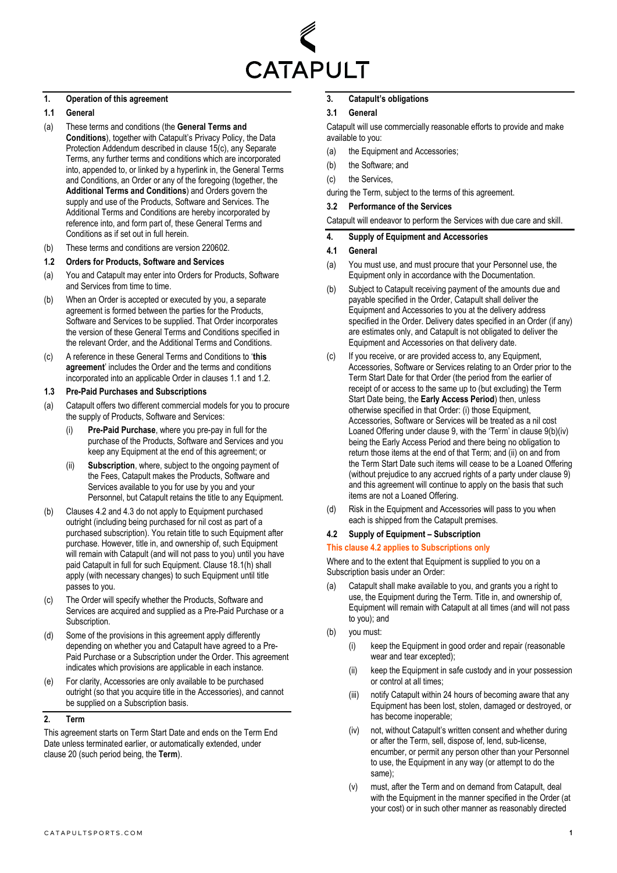

## **1. Operation of this agreement**

## <span id="page-0-0"></span>**1.1 General**

- (a) These terms and conditions (the **General Terms and Conditions**), together with Catapult's Privacy Policy, the Data Protection Addendum described in clause [15\(c\),](#page-5-0) any Separate Terms, any further terms and conditions which are incorporated into, appended to, or linked by a hyperlink in, the General Terms and Conditions, an Order or any of the foregoing (together, the **Additional Terms and Conditions**) and Orders govern the supply and use of the Products, Software and Services. The Additional Terms and Conditions are hereby incorporated by reference into, and form part of, these General Terms and Conditions as if set out in full herein.
- (b) These terms and conditions are version 220602.

## <span id="page-0-1"></span>**1.2 Orders for Products, Software and Services**

- (a) You and Catapult may enter into Orders for Products, Software and Services from time to time.
- (b) When an Order is accepted or executed by you, a separate agreement is formed between the parties for the Products, Software and Services to be supplied. That Order incorporates the version of these General Terms and Conditions specified in the relevant Order, and the Additional Terms and Conditions.
- (c) A reference in these General Terms and Conditions to '**this agreement**' includes the Order and the terms and conditions incorporated into an applicable Order in clause[s 1.1](#page-0-0) and [1.2.](#page-0-1)

## **1.3 Pre-Paid Purchases and Subscriptions**

- <span id="page-0-6"></span>(a) Catapult offers two different commercial models for you to procure the supply of Products, Software and Services:
	- (i) **Pre-Paid Purchase**, where you pre-pay in full for the purchase of the Products, Software and Services and you keep any Equipment at the end of this agreement; or
	- (ii) **Subscription**, where, subject to the ongoing payment of the Fees, Catapult makes the Products, Software and Services available to you for use by you and your Personnel, but Catapult retains the title to any Equipment.
- <span id="page-0-7"></span>(b) Clause[s 4.2](#page-0-2) an[d 4.3](#page-1-0) do not apply to Equipment purchased outright (including being purchased for nil cost as part of a purchased subscription). You retain title to such Equipment after purchase. However, title in, and ownership of, such Equipment will remain with Catapult (and will not pass to you) until you have paid Catapult in full for such Equipment. Claus[e 18.1\(h\)](#page-6-0) shall apply (with necessary changes) to such Equipment until title passes to you.
- (c) The Order will specify whether the Products, Software and Services are acquired and supplied as a Pre-Paid Purchase or a Subscription.
- (d) Some of the provisions in this agreement apply differently depending on whether you and Catapult have agreed to a Pre-Paid Purchase or a Subscription under the Order. This agreement indicates which provisions are applicable in each instance.
- (e) For clarity, Accessories are only available to be purchased outright (so that you acquire title in the Accessories), and cannot be supplied on a Subscription basis.

## <span id="page-0-8"></span>**2. Term**

This agreement starts on Term Start Date and ends on the Term End Date unless terminated earlier, or automatically extended, under clause [20](#page-7-0) (such period being, the **Term**).

## **3. Catapult's obligations**

## **3.1 General**

Catapult will use commercially reasonable efforts to provide and make available to you:

- (a) the Equipment and Accessories;
- (b) the Software; and
- (c) the Services,

during the Term, subject to the terms of this agreement.

## **3.2 Performance of the Services**

Catapult will endeavor to perform the Services with due care and skill.

## <span id="page-0-4"></span>**4. Supply of Equipment and Accessories**

## **4.1 General**

- (a) You must use, and must procure that your Personnel use, the Equipment only in accordance with the Documentation.
- (b) Subject to Catapult receiving payment of the amounts due and payable specified in the Order, Catapult shall deliver the Equipment and Accessories to you at the delivery address specified in the Order. Delivery dates specified in an Order (if any) are estimates only, and Catapult is not obligated to deliver the Equipment and Accessories on that delivery date.
- <span id="page-0-5"></span>(c) If you receive, or are provided access to, any Equipment, Accessories, Software or Services relating to an Order prior to the Term Start Date for that Order (the period from the earlier of receipt of or access to the same up to (but excluding) the Term Start Date being, the **Early Access Period**) then, unless otherwise specified in that Order: (i) those Equipment, Accessories, Software or Services will be treated as a nil cost Loaned Offering under clause [9,](#page-3-0) with the 'Term' in claus[e 9\(b\)\(iv\)](#page-3-1) being the Early Access Period and there being no obligation to return those items at the end of that Term; and (ii) on and from the Term Start Date such items will cease to be a Loaned Offering (without prejudice to any accrued rights of a party under claus[e 9\)](#page-3-0)  and this agreement will continue to apply on the basis that such items are not a Loaned Offering.
- (d) Risk in the Equipment and Accessories will pass to you when each is shipped from the Catapult premises.

## <span id="page-0-2"></span>**4.2 Supply of Equipment – Subscription**

### **This claus[e 4.2](#page-0-2) applies to Subscriptions only**

Where and to the extent that Equipment is supplied to you on a Subscription basis under an Order:

- (a) Catapult shall make available to you, and grants you a right to use, the Equipment during the Term. Title in, and ownership of, Equipment will remain with Catapult at all times (and will not pass to you); and
- <span id="page-0-3"></span>(b) you must:
	- (i) keep the Equipment in good order and repair (reasonable wear and tear excepted);
	- (ii) keep the Equipment in safe custody and in your possession or control at all times;
	- (iii) notify Catapult within 24 hours of becoming aware that any Equipment has been lost, stolen, damaged or destroyed, or has become inoperable;
	- (iv) not, without Catapult's written consent and whether during or after the Term, sell, dispose of, lend, sub-license, encumber, or permit any person other than your Personnel to use, the Equipment in any way (or attempt to do the same);
	- (v) must, after the Term and on demand from Catapult, deal with the Equipment in the manner specified in the Order (at your cost) or in such other manner as reasonably directed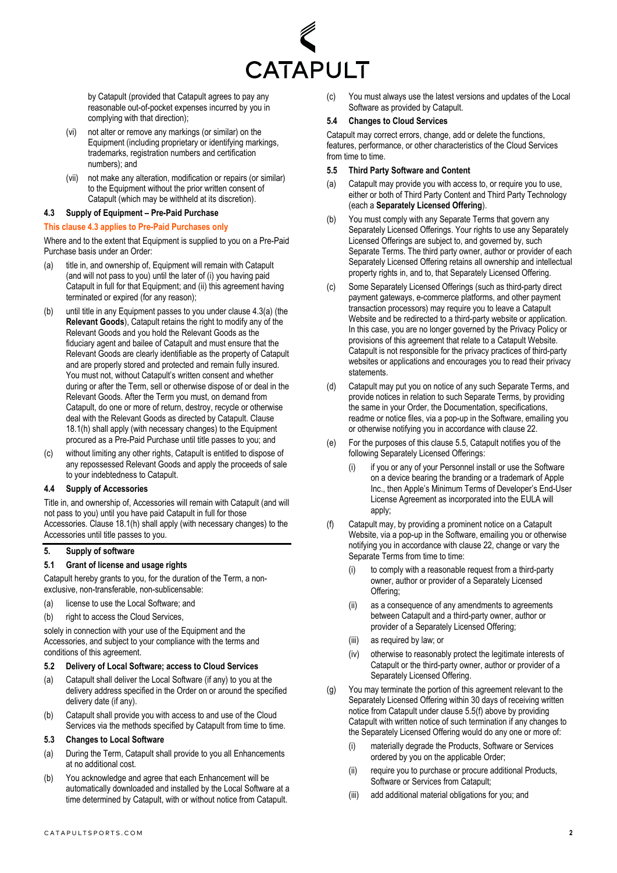

by Catapult (provided that Catapult agrees to pay any reasonable out-of-pocket expenses incurred by you in complying with that direction);

- (vi) not alter or remove any markings (or similar) on the Equipment (including proprietary or identifying markings, trademarks, registration numbers and certification numbers); and
- (vii) not make any alteration, modification or repairs (or similar) to the Equipment without the prior written consent of Catapult (which may be withheld at its discretion).

#### <span id="page-1-0"></span>**4.3 Supply of Equipment – Pre-Paid Purchase**

#### **This clause [4.3](#page-1-0) applies to Pre-Paid Purchases only**

Where and to the extent that Equipment is supplied to you on a Pre-Paid Purchase basis under an Order:

- <span id="page-1-1"></span>(a) title in, and ownership of, Equipment will remain with Catapult (and will not pass to you) until the later of (i) you having paid Catapult in full for that Equipment; and (ii) this agreement having terminated or expired (for any reason);
- (b) until title in any Equipment passes to you under clause [4.3](#page-1-0)[\(a\)](#page-1-1) (the **Relevant Goods**), Catapult retains the right to modify any of the Relevant Goods and you hold the Relevant Goods as the fiduciary agent and bailee of Catapult and must ensure that the Relevant Goods are clearly identifiable as the property of Catapult and are properly stored and protected and remain fully insured. You must not, without Catapult's written consent and whether during or after the Term, sell or otherwise dispose of or deal in the Relevant Goods. After the Term you must, on demand from Catapult, do one or more of return, destroy, recycle or otherwise deal with the Relevant Goods as directed by Catapult. Clause [18.1\(h\)](#page-6-0) shall apply (with necessary changes) to the Equipment procured as a Pre-Paid Purchase until title passes to you; and
- (c) without limiting any other rights, Catapult is entitled to dispose of any repossessed Relevant Goods and apply the proceeds of sale to your indebtedness to Catapult.

#### **4.4 Supply of Accessories**

Title in, and ownership of, Accessories will remain with Catapult (and will not pass to you) until you have paid Catapult in full for those Accessories. Claus[e 18.1\(h\)](#page-6-0) shall apply (with necessary changes) to the Accessories until title passes to you.

#### <span id="page-1-5"></span>**5. Supply of software**

#### <span id="page-1-4"></span>**5.1 Grant of license and usage rights**

Catapult hereby grants to you, for the duration of the Term, a nonexclusive, non-transferable, non-sublicensable:

- (a) license to use the Local Software; and
- (b) right to access the Cloud Services,

solely in connection with your use of the Equipment and the Accessories, and subject to your compliance with the terms and conditions of this agreement.

#### **5.2 Delivery of Local Software; access to Cloud Services**

- (a) Catapult shall deliver the Local Software (if any) to you at the delivery address specified in the Order on or around the specified delivery date (if any).
- (b) Catapult shall provide you with access to and use of the Cloud Services via the methods specified by Catapult from time to time.

#### **5.3 Changes to Local Software**

- (a) During the Term, Catapult shall provide to you all Enhancements at no additional cost.
- (b) You acknowledge and agree that each Enhancement will be automatically downloaded and installed by the Local Software at a time determined by Catapult, with or without notice from Catapult.

(c) You must always use the latest versions and updates of the Local Software as provided by Catapult.

#### **5.4 Changes to Cloud Services**

Catapult may correct errors, change, add or delete the functions, features, performance, or other characteristics of the Cloud Services from time to time.

#### <span id="page-1-2"></span>**5.5 Third Party Software and Content**

- (a) Catapult may provide you with access to, or require you to use, either or both of Third Party Content and Third Party Technology (each a **Separately Licensed Offering**).
- (b) You must comply with any Separate Terms that govern any Separately Licensed Offerings. Your rights to use any Separately Licensed Offerings are subject to, and governed by, such Separate Terms. The third party owner, author or provider of each Separately Licensed Offering retains all ownership and intellectual property rights in, and to, that Separately Licensed Offering.
- (c) Some Separately Licensed Offerings (such as third-party direct payment gateways, e-commerce platforms, and other payment transaction processors) may require you to leave a Catapult Website and be redirected to a third-party website or application. In this case, you are no longer governed by the Privacy Policy or provisions of this agreement that relate to a Catapult Website. Catapult is not responsible for the privacy practices of third-party websites or applications and encourages you to read their privacy statements.
- (d) Catapult may put you on notice of any such Separate Terms, and provide notices in relation to such Separate Terms, by providing the same in your Order, the Documentation, specifications, readme or notice files, via a pop-up in the Software, emailing you or otherwise notifying you in accordance with clause [22.](#page-7-1)
- (e) For the purposes of this claus[e 5.5,](#page-1-2) Catapult notifies you of the following Separately Licensed Offerings:
	- (i) if you or any of your Personnel install or use the Software on a device bearing the branding or a trademark of Apple Inc., then Apple's Minimum Terms of Developer's End-User License Agreement as incorporated into the EULA will apply;
- <span id="page-1-3"></span>(f) Catapult may, by providing a prominent notice on a Catapult Website, via a pop-up in the Software, emailing you or otherwise notifying you in accordance with claus[e 22,](#page-7-1) change or vary the Separate Terms from time to time:
	- to comply with a reasonable request from a third-party owner, author or provider of a Separately Licensed Offering;
	- (ii) as a consequence of any amendments to agreements between Catapult and a third-party owner, author or provider of a Separately Licensed Offering;
	- (iii) as required by law; or
	- (iv) otherwise to reasonably protect the legitimate interests of Catapult or the third-party owner, author or provider of a Separately Licensed Offering.
- (g) You may terminate the portion of this agreement relevant to the Separately Licensed Offering within 30 days of receiving written notice from Catapult under clause [5.5\(f\)](#page-1-3) above by providing Catapult with written notice of such termination if any changes to the Separately Licensed Offering would do any one or more of:
	- (i) materially degrade the Products, Software or Services ordered by you on the applicable Order;
	- (ii) require you to purchase or procure additional Products, Software or Services from Catapult;
	- (iii) add additional material obligations for you; and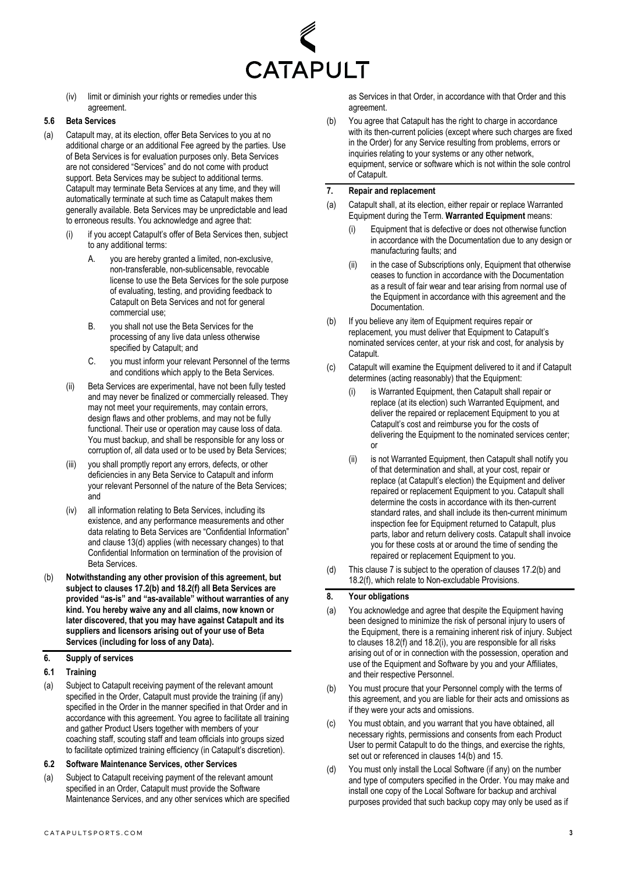

(iv) limit or diminish your rights or remedies under this agreement.

#### <span id="page-2-1"></span>**5.6 Beta Services**

- (a) Catapult may, at its election, offer Beta Services to you at no additional charge or an additional Fee agreed by the parties. Use of Beta Services is for evaluation purposes only. Beta Services are not considered "Services" and do not come with product support. Beta Services may be subject to additional terms. Catapult may terminate Beta Services at any time, and they will automatically terminate at such time as Catapult makes them generally available. Beta Services may be unpredictable and lead to erroneous results. You acknowledge and agree that:
	- (i) if you accept Catapult's offer of Beta Services then, subject to any additional terms:
		- A. you are hereby granted a limited, non-exclusive, non-transferable, non-sublicensable, revocable license to use the Beta Services for the sole purpose of evaluating, testing, and providing feedback to Catapult on Beta Services and not for general commercial use;
		- B. you shall not use the Beta Services for the processing of any live data unless otherwise specified by Catapult; and
		- C. you must inform your relevant Personnel of the terms and conditions which apply to the Beta Services.
	- (ii) Beta Services are experimental, have not been fully tested and may never be finalized or commercially released. They may not meet your requirements, may contain errors, design flaws and other problems, and may not be fully functional. Their use or operation may cause loss of data. You must backup, and shall be responsible for any loss or corruption of, all data used or to be used by Beta Services;
	- (iii) you shall promptly report any errors, defects, or other deficiencies in any Beta Service to Catapult and inform your relevant Personnel of the nature of the Beta Services; and
	- (iv) all information relating to Beta Services, including its existence, and any performance measurements and other data relating to Beta Services are "Confidential Information" and clause [13\(d\)](#page-4-0) applies (with necessary changes) to that Confidential Information on termination of the provision of Beta Services.
- (b) **Notwithstanding any other provision of this agreement, but subject to clauses [17.2\(b\)](#page-5-1) and [18.2\(f\)](#page-6-1) all Beta Services are provided "as-is" and "as-available" without warranties of any kind. You hereby waive any and all claims, now known or later discovered, that you may have against Catapult and its suppliers and licensors arising out of your use of Beta Services (including for loss of any Data).**

#### **6. Supply of services**

- **6.1 Training**
- (a) Subject to Catapult receiving payment of the relevant amount specified in the Order, Catapult must provide the training (if any) specified in the Order in the manner specified in that Order and in accordance with this agreement. You agree to facilitate all training and gather Product Users together with members of your coaching staff, scouting staff and team officials into groups sized to facilitate optimized training efficiency (in Catapult's discretion).

#### **6.2 Software Maintenance Services, other Services**

(a) Subject to Catapult receiving payment of the relevant amount specified in an Order, Catapult must provide the Software Maintenance Services, and any other services which are specified as Services in that Order, in accordance with that Order and this agreement.

(b) You agree that Catapult has the right to charge in accordance with its then-current policies (except where such charges are fixed in the Order) for any Service resulting from problems, errors or inquiries relating to your systems or any other network, equipment, service or software which is not within the sole control of Catapult.

## <span id="page-2-0"></span>**7. Repair and replacement**

- <span id="page-2-3"></span>(a) Catapult shall, at its election, either repair or replace Warranted Equipment during the Term. **Warranted Equipment** means:
	- Equipment that is defective or does not otherwise function in accordance with the Documentation due to any design or manufacturing faults; and
	- (ii) in the case of Subscriptions only, Equipment that otherwise ceases to function in accordance with the Documentation as a result of fair wear and tear arising from normal use of the Equipment in accordance with this agreement and the Documentation.
- (b) If you believe any item of Equipment requires repair or replacement, you must deliver that Equipment to Catapult's nominated services center, at your risk and cost, for analysis by Catapult.
- (c) Catapult will examine the Equipment delivered to it and if Catapult determines (acting reasonably) that the Equipment:
	- is Warranted Equipment, then Catapult shall repair or replace (at its election) such Warranted Equipment, and deliver the repaired or replacement Equipment to you at Catapult's cost and reimburse you for the costs of delivering the Equipment to the nominated services center; or
	- (ii) is not Warranted Equipment, then Catapult shall notify you of that determination and shall, at your cost, repair or replace (at Catapult's election) the Equipment and deliver repaired or replacement Equipment to you. Catapult shall determine the costs in accordance with its then-current standard rates, and shall include its then-current minimum inspection fee for Equipment returned to Catapult, plus parts, labor and return delivery costs. Catapult shall invoice you for these costs at or around the time of sending the repaired or replacement Equipment to you.
- (d) This claus[e 7](#page-2-0) is subject to the operation of clause[s 17.2\(b\)](#page-5-1) and [18.2\(f\),](#page-6-1) which relate to Non-excludable Provisions.

#### <span id="page-2-4"></span>**8. Your obligations**

- (a) You acknowledge and agree that despite the Equipment having been designed to minimize the risk of personal injury to users of the Equipment, there is a remaining inherent risk of injury. Subject to clauses [18.2\(f\)](#page-6-1) and [18.2\(i\),](#page-7-2) you are responsible for all risks arising out of or in connection with the possession, operation and use of the Equipment and Software by you and your Affiliates, and their respective Personnel.
- (b) You must procure that your Personnel comply with the terms of this agreement, and you are liable for their acts and omissions as if they were your acts and omissions.
- (c) You must obtain, and you warrant that you have obtained, all necessary rights, permissions and consents from each Product User to permit Catapult to do the things, and exercise the rights, set out or referenced in clause[s 14\(b\)](#page-4-1) an[d 15.](#page-5-2)
- <span id="page-2-2"></span>(d) You must only install the Local Software (if any) on the number and type of computers specified in the Order. You may make and install one copy of the Local Software for backup and archival purposes provided that such backup copy may only be used as if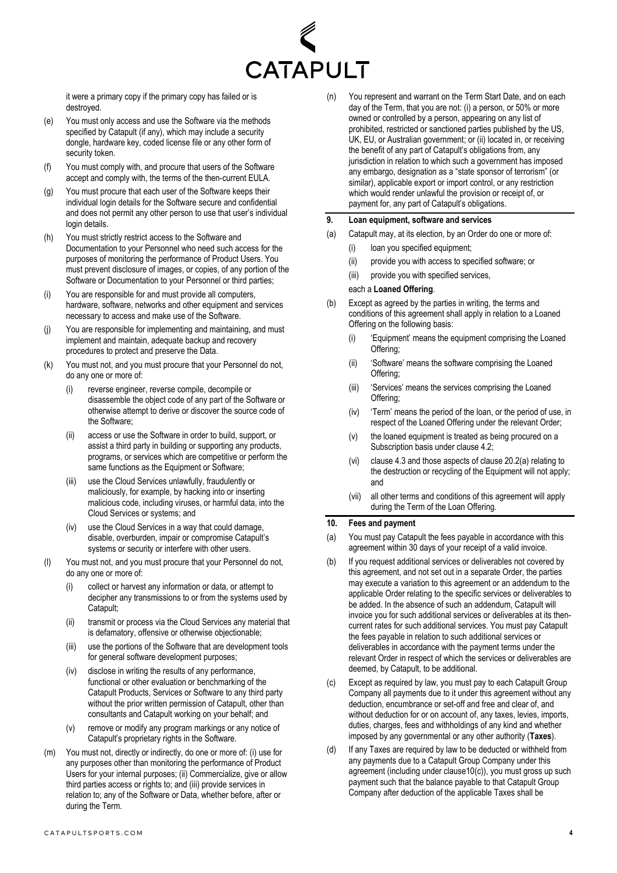

it were a primary copy if the primary copy has failed or is destroyed.

- <span id="page-3-3"></span>(e) You must only access and use the Software via the methods specified by Catapult (if any), which may include a security dongle, hardware key, coded license file or any other form of security token.
- (f) You must comply with, and procure that users of the Software accept and comply with, the terms of the then-current EULA.
- (g) You must procure that each user of the Software keeps their individual login details for the Software secure and confidential and does not permit any other person to use that user's individual login details.
- (h) You must strictly restrict access to the Software and Documentation to your Personnel who need such access for the purposes of monitoring the performance of Product Users. You must prevent disclosure of images, or copies, of any portion of the Software or Documentation to your Personnel or third parties;
- (i) You are responsible for and must provide all computers, hardware, software, networks and other equipment and services necessary to access and make use of the Software.
- (j) You are responsible for implementing and maintaining, and must implement and maintain, adequate backup and recovery procedures to protect and preserve the Data.
- <span id="page-3-4"></span>(k) You must not, and you must procure that your Personnel do not, do any one or more of:
	- reverse engineer, reverse compile, decompile or disassemble the object code of any part of the Software or otherwise attempt to derive or discover the source code of the Software;
	- (ii) access or use the Software in order to build, support, or assist a third party in building or supporting any products, programs, or services which are competitive or perform the same functions as the Equipment or Software;
	- (iii) use the Cloud Services unlawfully, fraudulently or maliciously, for example, by hacking into or inserting malicious code, including viruses, or harmful data, into the Cloud Services or systems; and
	- (iv) use the Cloud Services in a way that could damage, disable, overburden, impair or compromise Catapult's systems or security or interfere with other users.
- (l) You must not, and you must procure that your Personnel do not, do any one or more of:
	- collect or harvest any information or data, or attempt to decipher any transmissions to or from the systems used by Catapult;
	- (ii) transmit or process via the Cloud Services any material that is defamatory, offensive or otherwise objectionable;
	- (iii) use the portions of the Software that are development tools for general software development purposes;
	- (iv) disclose in writing the results of any performance, functional or other evaluation or benchmarking of the Catapult Products, Services or Software to any third party without the prior written permission of Catapult, other than consultants and Catapult working on your behalf; and
	- (v) remove or modify any program markings or any notice of Catapult's proprietary rights in the Software.
- <span id="page-3-5"></span>(m) You must not, directly or indirectly, do one or more of: (i) use for any purposes other than monitoring the performance of Product Users for your internal purposes; (ii) Commercialize, give or allow third parties access or rights to; and (iii) provide services in relation to; any of the Software or Data, whether before, after or during the Term.

(n) You represent and warrant on the Term Start Date, and on each day of the Term, that you are not: (i) a person, or 50% or more owned or controlled by a person, appearing on any list of prohibited, restricted or sanctioned parties published by the US, UK, EU, or Australian government; or (ii) located in, or receiving the benefit of any part of Catapult's obligations from, any jurisdiction in relation to which such a government has imposed any embargo, designation as a "state sponsor of terrorism" (or similar), applicable export or import control, or any restriction which would render unlawful the provision or receipt of, or payment for, any part of Catapult's obligations.

#### <span id="page-3-0"></span>**9. Loan equipment, software and services**

- (a) Catapult may, at its election, by an Order do one or more of:
	- (i) loan you specified equipment;
	- (ii) provide you with access to specified software; or
	- (iii) provide you with specified services,

#### each a **Loaned Offering**.

- <span id="page-3-1"></span>(b) Except as agreed by the parties in writing, the terms and conditions of this agreement shall apply in relation to a Loaned Offering on the following basis:
	- (i) 'Equipment' means the equipment comprising the Loaned Offering:
	- (ii) 'Software' means the software comprising the Loaned Offering;
	- (iii) 'Services' means the services comprising the Loaned Offering;
	- (iv) 'Term' means the period of the loan, or the period of use, in respect of the Loaned Offering under the relevant Order;
	- (v) the loaned equipment is treated as being procured on a Subscription basis under claus[e 4.2;](#page-0-2)
	- (vi) claus[e 4.3](#page-1-0) and those aspects of clause [20.2\(a\)](#page-7-3) relating to the destruction or recycling of the Equipment will not apply; and
	- (vii) all other terms and conditions of this agreement will apply during the Term of the Loan Offering.

#### **10. Fees and payment**

- (a) You must pay Catapult the fees payable in accordance with this agreement within 30 days of your receipt of a valid invoice.
- (b) If you request additional services or deliverables not covered by this agreement, and not set out in a separate Order, the parties may execute a variation to this agreement or an addendum to the applicable Order relating to the specific services or deliverables to be added. In the absence of such an addendum, Catapult will invoice you for such additional services or deliverables at its thencurrent rates for such additional services. You must pay Catapult the fees payable in relation to such additional services or deliverables in accordance with the payment terms under the relevant Order in respect of which the services or deliverables are deemed, by Catapult, to be additional.
- <span id="page-3-2"></span>(c) Except as required by law, you must pay to each Catapult Group Company all payments due to it under this agreement without any deduction, encumbrance or set-off and free and clear of, and without deduction for or on account of, any taxes, levies, imports, duties, charges, fees and withholdings of any kind and whether imposed by any governmental or any other authority (**Taxes**).
- <span id="page-3-6"></span>(d) If any Taxes are required by law to be deducted or withheld from any payments due to a Catapult Group Company under this agreement (including under claus[e10\(c\)\)](#page-3-2), you must gross up such payment such that the balance payable to that Catapult Group Company after deduction of the applicable Taxes shall be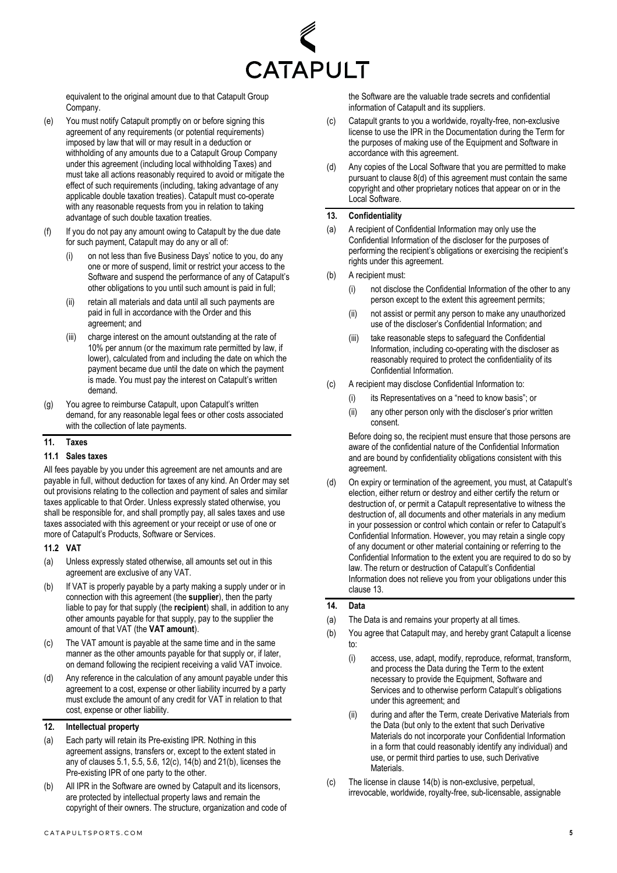

equivalent to the original amount due to that Catapult Group Company.

- (e) You must notify Catapult promptly on or before signing this agreement of any requirements (or potential requirements) imposed by law that will or may result in a deduction or withholding of any amounts due to a Catapult Group Company under this agreement (including local withholding Taxes) and must take all actions reasonably required to avoid or mitigate the effect of such requirements (including, taking advantage of any applicable double taxation treaties). Catapult must co-operate with any reasonable requests from you in relation to taking advantage of such double taxation treaties.
- (f) If you do not pay any amount owing to Catapult by the due date for such payment, Catapult may do any or all of:
	- (i) on not less than five Business Days' notice to you, do any one or more of suspend, limit or restrict your access to the Software and suspend the performance of any of Catapult's other obligations to you until such amount is paid in full;
	- (ii) retain all materials and data until all such payments are paid in full in accordance with the Order and this agreement; and
	- (iii) charge interest on the amount outstanding at the rate of 10% per annum (or the maximum rate permitted by law, if lower), calculated from and including the date on which the payment became due until the date on which the payment is made. You must pay the interest on Catapult's written demand.
- (g) You agree to reimburse Catapult, upon Catapult's written demand, for any reasonable legal fees or other costs associated with the collection of late payments.

#### **11. Taxes**

#### **11.1 Sales taxes**

All fees payable by you under this agreement are net amounts and are payable in full, without deduction for taxes of any kind. An Order may set out provisions relating to the collection and payment of sales and similar taxes applicable to that Order. Unless expressly stated otherwise, you shall be responsible for, and shall promptly pay, all sales taxes and use taxes associated with this agreement or your receipt or use of one or more of Catapult's Products, Software or Services.

#### **11.2 VAT**

- (a) Unless expressly stated otherwise, all amounts set out in this agreement are exclusive of any VAT.
- (b) If VAT is properly payable by a party making a supply under or in connection with this agreement (the **supplier**), then the party liable to pay for that supply (the **recipient**) shall, in addition to any other amounts payable for that supply, pay to the supplier the amount of that VAT (the **VAT amount**).
- (c) The VAT amount is payable at the same time and in the same manner as the other amounts payable for that supply or, if later, on demand following the recipient receiving a valid VAT invoice.
- (d) Any reference in the calculation of any amount payable under this agreement to a cost, expense or other liability incurred by a party must exclude the amount of any credit for VAT in relation to that cost, expense or other liability.

# <span id="page-4-4"></span>**12. Intellectual property**

- (a) Each party will retain its Pre-existing IPR. Nothing in this agreement assigns, transfers or, except to the extent stated in any of clauses [5.1,](#page-1-4) [5.5,](#page-1-2) [5.6,](#page-2-1) [12\(c\),](#page-4-2) [14\(b\)](#page-4-1) an[d 21\(b\),](#page-7-4) licenses the Pre-existing IPR of one party to the other.
- (b) All IPR in the Software are owned by Catapult and its licensors, are protected by intellectual property laws and remain the copyright of their owners. The structure, organization and code of

the Software are the valuable trade secrets and confidential information of Catapult and its suppliers.

- <span id="page-4-2"></span>(c) Catapult grants to you a worldwide, royalty-free, non-exclusive license to use the IPR in the Documentation during the Term for the purposes of making use of the Equipment and Software in accordance with this agreement.
- (d) Any copies of the Local Software that you are permitted to make pursuant to clause [8\(d\)](#page-2-2) of this agreement must contain the same copyright and other proprietary notices that appear on or in the Local Software.

#### <span id="page-4-3"></span>**13. Confidentiality**

- (a) A recipient of Confidential Information may only use the Confidential Information of the discloser for the purposes of performing the recipient's obligations or exercising the recipient's rights under this agreement.
- (b) A recipient must:
	- (i) not disclose the Confidential Information of the other to any person except to the extent this agreement permits;
	- (ii) not assist or permit any person to make any unauthorized use of the discloser's Confidential Information; and
	- (iii) take reasonable steps to safeguard the Confidential Information, including co-operating with the discloser as reasonably required to protect the confidentiality of its Confidential Information.
- (c) A recipient may disclose Confidential Information to:
	- (i) its Representatives on a "need to know basis"; or
	- (ii) any other person only with the discloser's prior written consent.

Before doing so, the recipient must ensure that those persons are aware of the confidential nature of the Confidential Information and are bound by confidentiality obligations consistent with this agreement.

<span id="page-4-0"></span>(d) On expiry or termination of the agreement, you must, at Catapult's election, either return or destroy and either certify the return or destruction of, or permit a Catapult representative to witness the destruction of, all documents and other materials in any medium in your possession or control which contain or refer to Catapult's Confidential Information. However, you may retain a single copy of any document or other material containing or referring to the Confidential Information to the extent you are required to do so by law. The return or destruction of Catapult's Confidential Information does not relieve you from your obligations under this clause [13.](#page-4-3)

#### <span id="page-4-5"></span>**14. Data**

- (a) The Data is and remains your property at all times.
- <span id="page-4-1"></span>(b) You agree that Catapult may, and hereby grant Catapult a license to:
	- (i) access, use, adapt, modify, reproduce, reformat, transform, and process the Data during the Term to the extent necessary to provide the Equipment, Software and Services and to otherwise perform Catapult's obligations under this agreement; and
	- (ii) during and after the Term, create Derivative Materials from the Data (but only to the extent that such Derivative Materials do not incorporate your Confidential Information in a form that could reasonably identify any individual) and use, or permit third parties to use, such Derivative Materials.
- (c) The license in claus[e 14\(b\)](#page-4-1) is non-exclusive, perpetual, irrevocable, worldwide, royalty-free, sub-licensable, assignable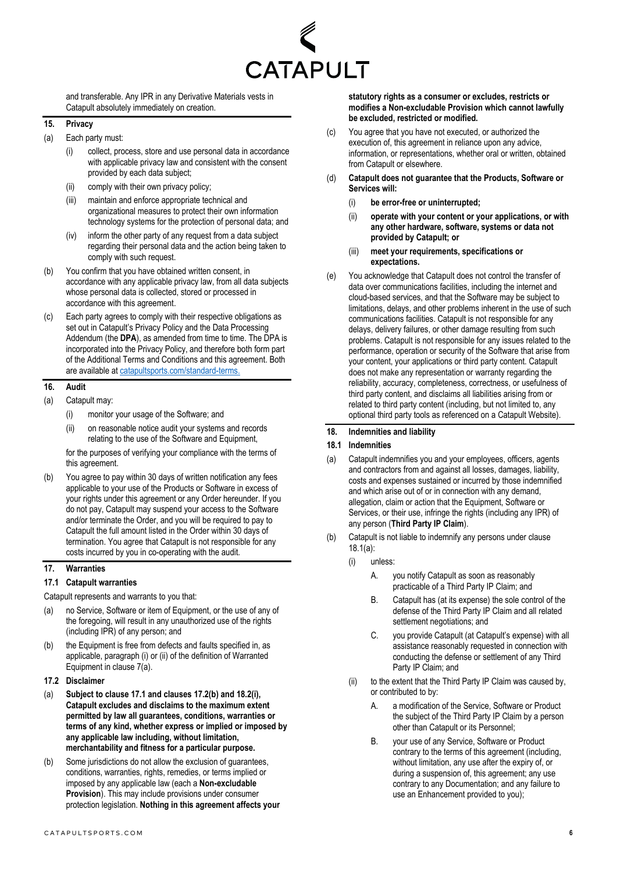

and transferable. Any IPR in any Derivative Materials vests in Catapult absolutely immediately on creation.

## <span id="page-5-2"></span>**15. Privacy**

- (a) Each party must:
	- collect, process, store and use personal data in accordance with applicable privacy law and consistent with the consent provided by each data subject;
	- (ii) comply with their own privacy policy;
	- (iii) maintain and enforce appropriate technical and organizational measures to protect their own information technology systems for the protection of personal data; and
	- (iv) inform the other party of any request from a data subject regarding their personal data and the action being taken to comply with such request.
- (b) You confirm that you have obtained written consent, in accordance with any applicable privacy law, from all data subjects whose personal data is collected, stored or processed in accordance with this agreement.
- <span id="page-5-0"></span>(c) Each party agrees to comply with their respective obligations as set out in Catapult's Privacy Policy and the Data Processing Addendum (the **DPA**), as amended from time to time. The DPA is incorporated into the Privacy Policy, and therefore both form part of the Additional Terms and Conditions and this agreement. Both are available at [catapultsports.com/standard-terms.](https://www.catapultsports.com/standard-terms)

## **16. Audit**

- (a) Catapult may:
	- (i) monitor your usage of the Software; and
	- (ii) on reasonable notice audit your systems and records relating to the use of the Software and Equipment,

for the purposes of verifying your compliance with the terms of this agreement.

(b) You agree to pay within 30 days of written notification any fees applicable to your use of the Products or Software in excess of your rights under this agreement or any Order hereunder. If you do not pay, Catapult may suspend your access to the Software and/or terminate the Order, and you will be required to pay to Catapult the full amount listed in the Order within 30 days of termination. You agree that Catapult is not responsible for any costs incurred by you in co-operating with the audit.

### **17. Warranties**

## <span id="page-5-3"></span>**17.1 Catapult warranties**

Catapult represents and warrants to you that:

- (a) no Service, Software or item of Equipment, or the use of any of the foregoing, will result in any unauthorized use of the rights (including IPR) of any person; and
- (b) the Equipment is free from defects and faults specified in, as applicable, paragraph (i) or (ii) of the definition of Warranted Equipment in claus[e 7\(a\).](#page-2-3)
- <span id="page-5-4"></span>**17.2 Disclaimer**
- (a) **Subject to claus[e 17.1](#page-5-3) and clauses [17.2\(](#page-5-4)[b\)](#page-5-1) an[d 18.2\(i\),](#page-7-2)  Catapult excludes and disclaims to the maximum extent permitted by law all guarantees, conditions, warranties or terms of any kind, whether express or implied or imposed by any applicable law including, without limitation, merchantability and fitness for a particular purpose.**
- <span id="page-5-1"></span>(b) Some jurisdictions do not allow the exclusion of guarantees, conditions, warranties, rights, remedies, or terms implied or imposed by any applicable law (each a **Non-excludable Provision**). This may include provisions under consumer protection legislation. **Nothing in this agreement affects your**

**statutory rights as a consumer or excludes, restricts or modifies a Non-excludable Provision which cannot lawfully be excluded, restricted or modified.**

- (c) You agree that you have not executed, or authorized the execution of, this agreement in reliance upon any advice, information, or representations, whether oral or written, obtained from Catapult or elsewhere.
- (d) **Catapult does not guarantee that the Products, Software or Services will:** 
	- (i) **be error-free or uninterrupted;**
	- (ii) **operate with your content or your applications, or with any other hardware, software, systems or data not provided by Catapult; or**
	- (iii) **meet your requirements, specifications or expectations.**
- (e) You acknowledge that Catapult does not control the transfer of data over communications facilities, including the internet and cloud-based services, and that the Software may be subject to limitations, delays, and other problems inherent in the use of such communications facilities. Catapult is not responsible for any delays, delivery failures, or other damage resulting from such problems. Catapult is not responsible for any issues related to the performance, operation or security of the Software that arise from your content, your applications or third party content. Catapult does not make any representation or warranty regarding the reliability, accuracy, completeness, correctness, or usefulness of third party content, and disclaims all liabilities arising from or related to third party content (including, but not limited to, any optional third party tools as referenced on a Catapult Website).

## <span id="page-5-7"></span>**18. Indemnities and liability**

#### **18.1 Indemnities**

- <span id="page-5-5"></span>(a) Catapult indemnifies you and your employees, officers, agents and contractors from and against all losses, damages, liability, costs and expenses sustained or incurred by those indemnified and which arise out of or in connection with any demand, allegation, claim or action that the Equipment, Software or Services, or their use, infringe the rights (including any IPR) of any person (**Third Party IP Claim**).
- <span id="page-5-6"></span>(b) Catapult is not liable to indemnify any persons under clause [18.1\(a\):](#page-5-5)
	- (i) unless:
		- A. you notify Catapult as soon as reasonably practicable of a Third Party IP Claim; and
		- B. Catapult has (at its expense) the sole control of the defense of the Third Party IP Claim and all related settlement negotiations; and
		- C. you provide Catapult (at Catapult's expense) with all assistance reasonably requested in connection with conducting the defense or settlement of any Third Party IP Claim; and
	- (ii) to the extent that the Third Party IP Claim was caused by, or contributed to by:
		- A. a modification of the Service, Software or Product the subject of the Third Party IP Claim by a person other than Catapult or its Personnel;
		- B. your use of any Service, Software or Product contrary to the terms of this agreement (including, without limitation, any use after the expiry of, or during a suspension of, this agreement; any use contrary to any Documentation; and any failure to use an Enhancement provided to you);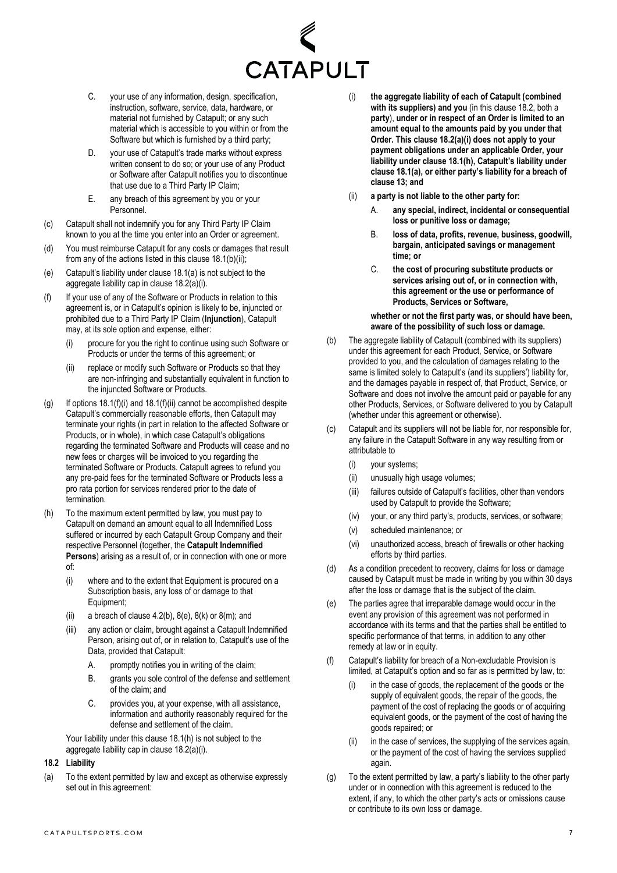

- C. your use of any information, design, specification, instruction, software, service, data, hardware, or material not furnished by Catapult; or any such material which is accessible to you within or from the Software but which is furnished by a third party;
- D. your use of Catapult's trade marks without express written consent to do so; or your use of any Product or Software after Catapult notifies you to discontinue that use due to a Third Party IP Claim;
- E. any breach of this agreement by you or your Personnel.
- (c) Catapult shall not indemnify you for any Third Party IP Claim known to you at the time you enter into an Order or agreement.
- (d) You must reimburse Catapult for any costs or damages that result from any of the actions listed in this claus[e 18.1\(b\)\(ii\);](#page-5-6)
- (e) Catapult's liability under claus[e 18.1\(a\)](#page-5-5) is not subject to the aggregate liability cap in claus[e 18.2\(a\)\(i\).](#page-6-2)
- <span id="page-6-3"></span>(f) If your use of any of the Software or Products in relation to this agreement is, or in Catapult's opinion is likely to be, injuncted or prohibited due to a Third Party IP Claim (**Injunction**), Catapult may, at its sole option and expense, either:
	- (i) procure for you the right to continue using such Software or Products or under the terms of this agreement; or
	- (ii) replace or modify such Software or Products so that they are non-infringing and substantially equivalent in function to the injuncted Software or Products.
- <span id="page-6-4"></span>(g) If options [18.1\(f\)\(i\)](#page-6-3) an[d 18.1\(f\)\(ii\)](#page-6-4) cannot be accomplished despite Catapult's commercially reasonable efforts, then Catapult may terminate your rights (in part in relation to the affected Software or Products, or in whole), in which case Catapult's obligations regarding the terminated Software and Products will cease and no new fees or charges will be invoiced to you regarding the terminated Software or Products. Catapult agrees to refund you any pre-paid fees for the terminated Software or Products less a pro rata portion for services rendered prior to the date of termination.
- <span id="page-6-0"></span>(h) To the maximum extent permitted by law, you must pay to Catapult on demand an amount equal to all Indemnified Loss suffered or incurred by each Catapult Group Company and their respective Personnel (together, the **Catapult Indemnified Persons**) arising as a result of, or in connection with one or more of:
	- (i) where and to the extent that Equipment is procured on a Subscription basis, any loss of or damage to that Equipment;
	- (ii) a breach of clause  $4.2(b)$ ,  $8(e)$ ,  $8(k)$  or  $8(m)$ ; and
	- (iii) any action or claim, brought against a Catapult Indemnified Person, arising out of, or in relation to, Catapult's use of the Data, provided that Catapult:
		- A. promptly notifies you in writing of the claim;
		- B. grants you sole control of the defense and settlement of the claim; and
		- C. provides you, at your expense, with all assistance, information and authority reasonably required for the defense and settlement of the claim.

Your liability under this clause [18.1\(h\)](#page-6-0) is not subject to the aggregate liability cap in claus[e 18.2\(a\)\(i\).](#page-6-2)

## <span id="page-6-5"></span>**18.2 Liability**

(a) To the extent permitted by law and except as otherwise expressly set out in this agreement:

- <span id="page-6-2"></span>(i) **the aggregate liability of each of Catapult (combined with its suppliers) and you** (in this claus[e 18.2,](#page-6-5) both a **party**), **under or in respect of an Order is limited to an amount equal to the amounts paid by you under that Order. This claus[e 18.2\(a\)\(i\)](#page-6-2) does not apply to your payment obligations under an applicable Order, your liability under clause [18.1\(h\),](#page-6-0) Catapult's liability under clause [18.1\(a\),](#page-5-5) or either party's liability for a breach of clause [13;](#page-4-3) and**
- (ii) **a party is not liable to the other party for:** 
	- A. **any special, indirect, incidental or consequential loss or punitive loss or damage;**
	- B. **loss of data, profits, revenue, business, goodwill, bargain, anticipated savings or management time; or**
	- C. **the cost of procuring substitute products or services arising out of, or in connection with, this agreement or the use or performance of Products, Services or Software,**

**whether or not the first party was, or should have been, aware of the possibility of such loss or damage.** 

- (b) The aggregate liability of Catapult (combined with its suppliers) under this agreement for each Product, Service, or Software provided to you, and the calculation of damages relating to the same is limited solely to Catapult's (and its suppliers') liability for, and the damages payable in respect of, that Product, Service, or Software and does not involve the amount paid or payable for any other Products, Services, or Software delivered to you by Catapult (whether under this agreement or otherwise).
- (c) Catapult and its suppliers will not be liable for, nor responsible for, any failure in the Catapult Software in any way resulting from or attributable to
	- (i) your systems;
	- (ii) unusually high usage volumes;
	- (iii) failures outside of Catapult's facilities, other than vendors used by Catapult to provide the Software;
	- (iv) your, or any third party's, products, services, or software;
	- (v) scheduled maintenance; or
	- (vi) unauthorized access, breach of firewalls or other hacking efforts by third parties.
- (d) As a condition precedent to recovery, claims for loss or damage caused by Catapult must be made in writing by you within 30 days after the loss or damage that is the subject of the claim.
- (e) The parties agree that irreparable damage would occur in the event any provision of this agreement was not performed in accordance with its terms and that the parties shall be entitled to specific performance of that terms, in addition to any other remedy at law or in equity.
- <span id="page-6-1"></span>(f) Catapult's liability for breach of a Non-excludable Provision is limited, at Catapult's option and so far as is permitted by law, to:
	- in the case of goods, the replacement of the goods or the supply of equivalent goods, the repair of the goods, the payment of the cost of replacing the goods or of acquiring equivalent goods, or the payment of the cost of having the goods repaired; or
	- (ii) in the case of services, the supplying of the services again, or the payment of the cost of having the services supplied again.
- (g) To the extent permitted by law, a party's liability to the other party under or in connection with this agreement is reduced to the extent, if any, to which the other party's acts or omissions cause or contribute to its own loss or damage.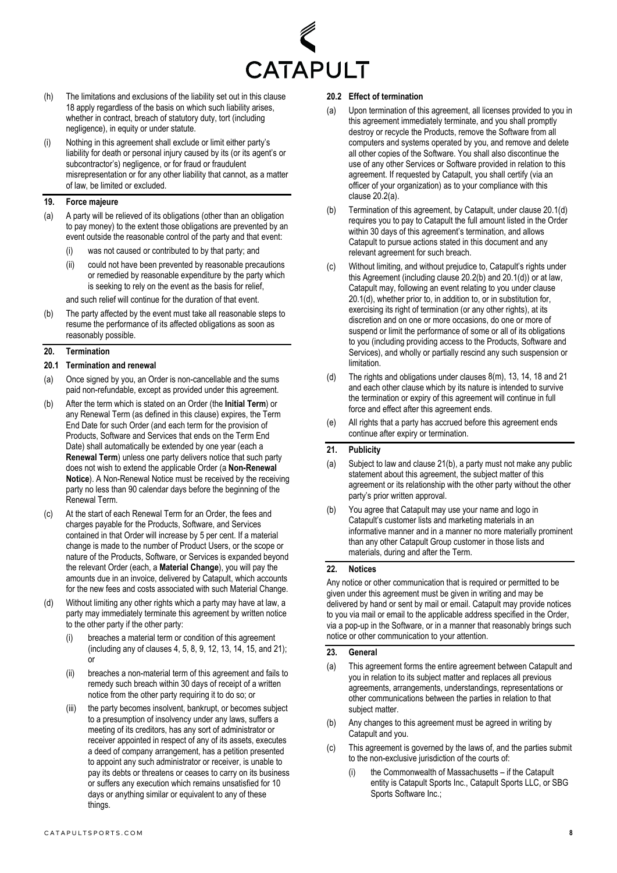

- (h) The limitations and exclusions of the liability set out in this clause [18](#page-5-7) apply regardless of the basis on which such liability arises, whether in contract, breach of statutory duty, tort (including negligence), in equity or under statute.
- <span id="page-7-2"></span>(i) Nothing in this agreement shall exclude or limit either party's liability for death or personal injury caused by its (or its agent's or subcontractor's) negligence, or for fraud or fraudulent misrepresentation or for any other liability that cannot, as a matter of law, be limited or excluded.

## **19. Force majeure**

- (a) A party will be relieved of its obligations (other than an obligation to pay money) to the extent those obligations are prevented by an event outside the reasonable control of the party and that event:
	- (i) was not caused or contributed to by that party; and
	- (ii) could not have been prevented by reasonable precautions or remedied by reasonable expenditure by the party which is seeking to rely on the event as the basis for relief,

and such relief will continue for the duration of that event.

(b) The party affected by the event must take all reasonable steps to resume the performance of its affected obligations as soon as reasonably possible.

#### <span id="page-7-0"></span>**20. Termination**

#### **20.1 Termination and renewal**

- (a) Once signed by you, an Order is non-cancellable and the sums paid non-refundable, except as provided under this agreement.
- (b) After the term which is stated on an Order (the **Initial Term**) or any Renewal Term (as defined in this clause) expires, the Term End Date for such Order (and each term for the provision of Products, Software and Services that ends on the Term End Date) shall automatically be extended by one year (each a **Renewal Term**) unless one party delivers notice that such party does not wish to extend the applicable Order (a **Non-Renewal Notice**). A Non-Renewal Notice must be received by the receiving party no less than 90 calendar days before the beginning of the Renewal Term.
- (c) At the start of each Renewal Term for an Order, the fees and charges payable for the Products, Software, and Services contained in that Order will increase by 5 per cent. If a material change is made to the number of Product Users, or the scope or nature of the Products, Software, or Services is expanded beyond the relevant Order (each, a **Material Change**), you will pay the amounts due in an invoice, delivered by Catapult, which accounts for the new fees and costs associated with such Material Change.
- <span id="page-7-6"></span>(d) Without limiting any other rights which a party may have at law, a party may immediately terminate this agreement by written notice to the other party if the other party:
	- breaches a material term or condition of this agreement (including any of clauses [4,](#page-0-4) [5,](#page-1-5) [8,](#page-2-4) [9,](#page-3-0) [12,](#page-4-4) [13,](#page-4-3) [14,](#page-4-5) [15,](#page-5-2) an[d 21\);](#page-7-5) or
	- (ii) breaches a non-material term of this agreement and fails to remedy such breach within 30 days of receipt of a written notice from the other party requiring it to do so; or
	- (iii) the party becomes insolvent, bankrupt, or becomes subject to a presumption of insolvency under any laws, suffers a meeting of its creditors, has any sort of administrator or receiver appointed in respect of any of its assets, executes a deed of company arrangement, has a petition presented to appoint any such administrator or receiver, is unable to pay its debts or threatens or ceases to carry on its business or suffers any execution which remains unsatisfied for 10 days or anything similar or equivalent to any of these things.

#### **20.2 Effect of termination**

- <span id="page-7-3"></span>Upon termination of this agreement, all licenses provided to you in this agreement immediately terminate, and you shall promptly destroy or recycle the Products, remove the Software from all computers and systems operated by you, and remove and delete all other copies of the Software. You shall also discontinue the use of any other Services or Software provided in relation to this agreement. If requested by Catapult, you shall certify (via an officer of your organization) as to your compliance with this clause [20.2\(a\).](#page-7-3)
- <span id="page-7-7"></span>(b) Termination of this agreement, by Catapult, under claus[e 20.1\(d\)](#page-7-6) requires you to pay to Catapult the full amount listed in the Order within 30 days of this agreement's termination, and allows Catapult to pursue actions stated in this document and any relevant agreement for such breach.
- (c) Without limiting, and without prejudice to, Catapult's rights under this Agreement (including claus[e 20.2\(b\)](#page-7-7) an[d 20.1\(d\)\)](#page-7-6) or at law, Catapult may, following an event relating to you under clause [20.1\(d\),](#page-7-6) whether prior to, in addition to, or in substitution for, exercising its right of termination (or any other rights), at its discretion and on one or more occasions, do one or more of suspend or limit the performance of some or all of its obligations to you (including providing access to the Products, Software and Services), and wholly or partially rescind any such suspension or **limitation**
- (d) The rights and obligations under clauses [8\(m\),](#page-3-5) [13,](#page-4-3) [14,](#page-4-5) [18](#page-5-7) an[d 21](#page-7-5) and each other clause which by its nature is intended to survive the termination or expiry of this agreement will continue in full force and effect after this agreement ends.
- (e) All rights that a party has accrued before this agreement ends continue after expiry or termination.

#### <span id="page-7-5"></span>**21. Publicity**

- (a) Subject to law and claus[e 21\(b\),](#page-7-4) a party must not make any public statement about this agreement, the subject matter of this agreement or its relationship with the other party without the other party's prior written approval.
- <span id="page-7-4"></span>(b) You agree that Catapult may use your name and logo in Catapult's customer lists and marketing materials in an informative manner and in a manner no more materially prominent than any other Catapult Group customer in those lists and materials, during and after the Term.

#### <span id="page-7-1"></span>**22. Notices**

Any notice or other communication that is required or permitted to be given under this agreement must be given in writing and may be delivered by hand or sent by mail or email. Catapult may provide notices to you via mail or email to the applicable address specified in the Order, via a pop-up in the Software, or in a manner that reasonably brings such notice or other communication to your attention.

### **23. General**

- (a) This agreement forms the entire agreement between Catapult and you in relation to its subject matter and replaces all previous agreements, arrangements, understandings, representations or other communications between the parties in relation to that subject matter.
- (b) Any changes to this agreement must be agreed in writing by Catapult and you.
- <span id="page-7-8"></span>(c) This agreement is governed by the laws of, and the parties submit to the non-exclusive jurisdiction of the courts of:
	- (i) the Commonwealth of Massachusetts if the Catapult entity is Catapult Sports Inc., Catapult Sports LLC, or SBG Sports Software Inc.;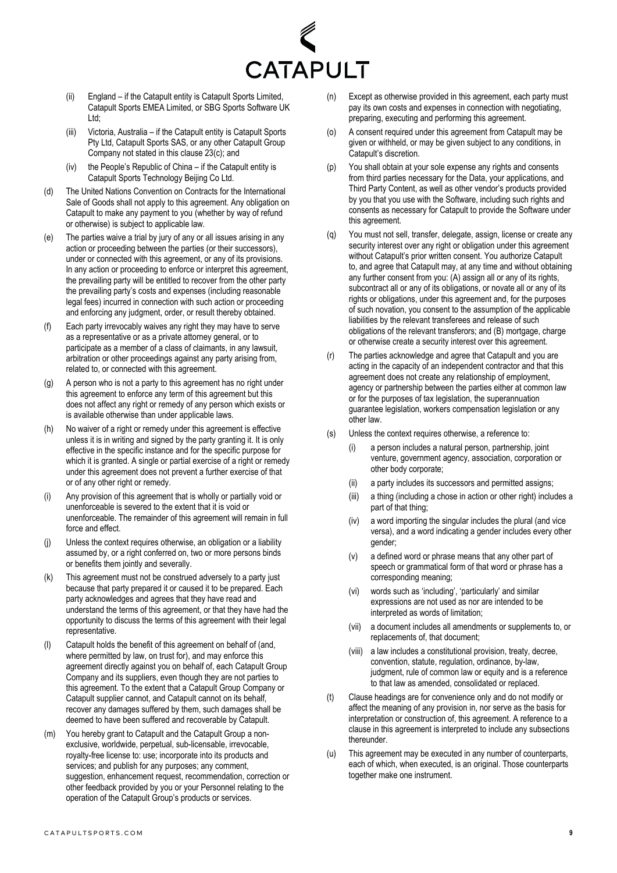

- (ii) England if the Catapult entity is Catapult Sports Limited, Catapult Sports EMEA Limited, or SBG Sports Software UK Ltd;
- (iii) Victoria, Australia if the Catapult entity is Catapult Sports Pty Ltd, Catapult Sports SAS, or any other Catapult Group Company not stated in this clause [23\(c\);](#page-7-8) and
- (iv) the People's Republic of China if the Catapult entity is Catapult Sports Technology Beijing Co Ltd.
- (d) The United Nations Convention on Contracts for the International Sale of Goods shall not apply to this agreement. Any obligation on Catapult to make any payment to you (whether by way of refund or otherwise) is subject to applicable law.
- (e) The parties waive a trial by jury of any or all issues arising in any action or proceeding between the parties (or their successors), under or connected with this agreement, or any of its provisions. In any action or proceeding to enforce or interpret this agreement, the prevailing party will be entitled to recover from the other party the prevailing party's costs and expenses (including reasonable legal fees) incurred in connection with such action or proceeding and enforcing any judgment, order, or result thereby obtained.
- (f) Each party irrevocably waives any right they may have to serve as a representative or as a private attorney general, or to participate as a member of a class of claimants, in any lawsuit, arbitration or other proceedings against any party arising from, related to, or connected with this agreement.
- (g) A person who is not a party to this agreement has no right under this agreement to enforce any term of this agreement but this does not affect any right or remedy of any person which exists or is available otherwise than under applicable laws.
- (h) No waiver of a right or remedy under this agreement is effective unless it is in writing and signed by the party granting it. It is only effective in the specific instance and for the specific purpose for which it is granted. A single or partial exercise of a right or remedy under this agreement does not prevent a further exercise of that or of any other right or remedy.
- (i) Any provision of this agreement that is wholly or partially void or unenforceable is severed to the extent that it is void or unenforceable. The remainder of this agreement will remain in full force and effect.
- (j) Unless the context requires otherwise, an obligation or a liability assumed by, or a right conferred on, two or more persons binds or benefits them jointly and severally.
- (k) This agreement must not be construed adversely to a party just because that party prepared it or caused it to be prepared. Each party acknowledges and agrees that they have read and understand the terms of this agreement, or that they have had the opportunity to discuss the terms of this agreement with their legal representative.
- (l) Catapult holds the benefit of this agreement on behalf of (and, where permitted by law, on trust for), and may enforce this agreement directly against you on behalf of, each Catapult Group Company and its suppliers, even though they are not parties to this agreement. To the extent that a Catapult Group Company or Catapult supplier cannot, and Catapult cannot on its behalf, recover any damages suffered by them, such damages shall be deemed to have been suffered and recoverable by Catapult.
- (m) You hereby grant to Catapult and the Catapult Group a nonexclusive, worldwide, perpetual, sub-licensable, irrevocable, royalty-free license to: use; incorporate into its products and services; and publish for any purposes; any comment, suggestion, enhancement request, recommendation, correction or other feedback provided by you or your Personnel relating to the operation of the Catapult Group's products or services.
- (n) Except as otherwise provided in this agreement, each party must pay its own costs and expenses in connection with negotiating, preparing, executing and performing this agreement.
- (o) A consent required under this agreement from Catapult may be given or withheld, or may be given subject to any conditions, in Catapult's discretion.
- (p) You shall obtain at your sole expense any rights and consents from third parties necessary for the Data, your applications, and Third Party Content, as well as other vendor's products provided by you that you use with the Software, including such rights and consents as necessary for Catapult to provide the Software under this agreement.
- (q) You must not sell, transfer, delegate, assign, license or create any security interest over any right or obligation under this agreement without Catapult's prior written consent. You authorize Catapult to, and agree that Catapult may, at any time and without obtaining any further consent from you: (A) assign all or any of its rights, subcontract all or any of its obligations, or novate all or any of its rights or obligations, under this agreement and, for the purposes of such novation, you consent to the assumption of the applicable liabilities by the relevant transferees and release of such obligations of the relevant transferors; and (B) mortgage, charge or otherwise create a security interest over this agreement.
- (r) The parties acknowledge and agree that Catapult and you are acting in the capacity of an independent contractor and that this agreement does not create any relationship of employment, agency or partnership between the parties either at common law or for the purposes of tax legislation, the superannuation guarantee legislation, workers compensation legislation or any other law.
- (s) Unless the context requires otherwise, a reference to:
	- a person includes a natural person, partnership, joint venture, government agency, association, corporation or other body corporate;
	- (ii) a party includes its successors and permitted assigns;
	- (iii) a thing (including a chose in action or other right) includes a part of that thing;
	- (iv) a word importing the singular includes the plural (and vice versa), and a word indicating a gender includes every other gender;
	- (v) a defined word or phrase means that any other part of speech or grammatical form of that word or phrase has a corresponding meaning;
	- (vi) words such as 'including', 'particularly' and similar expressions are not used as nor are intended to be interpreted as words of limitation;
	- (vii) a document includes all amendments or supplements to, or replacements of, that document;
	- (viii) a law includes a constitutional provision, treaty, decree, convention, statute, regulation, ordinance, by-law, judgment, rule of common law or equity and is a reference to that law as amended, consolidated or replaced.
- (t) Clause headings are for convenience only and do not modify or affect the meaning of any provision in, nor serve as the basis for interpretation or construction of, this agreement. A reference to a clause in this agreement is interpreted to include any subsections thereunder.
- (u) This agreement may be executed in any number of counterparts, each of which, when executed, is an original. Those counterparts together make one instrument.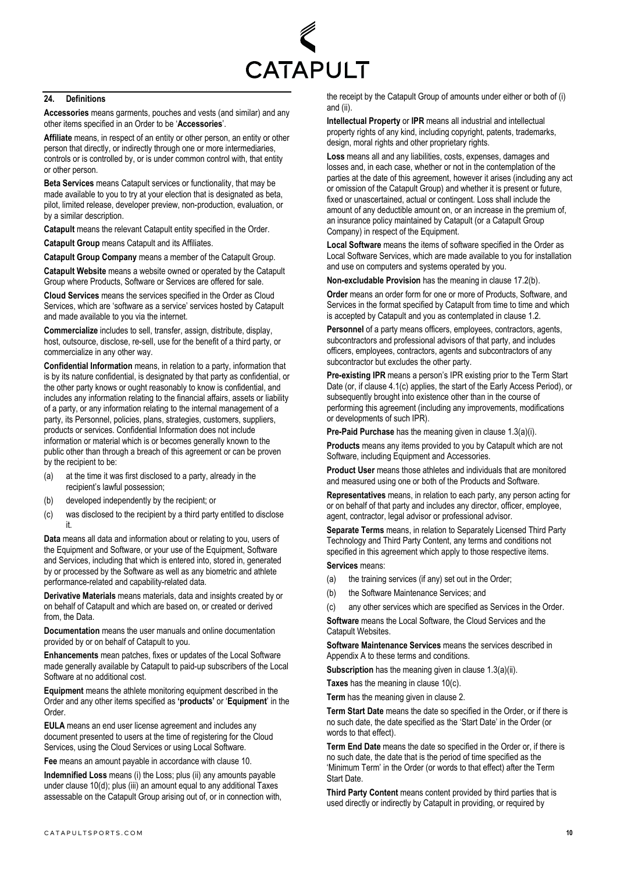

#### **24. Definitions**

**Accessories** means garments, pouches and vests (and similar) and any other items specified in an Order to be '**Accessories**'.

**Affiliate** means, in respect of an entity or other person, an entity or other person that directly, or indirectly through one or more intermediaries, controls or is controlled by, or is under common control with, that entity or other person.

**Beta Services** means Catapult services or functionality, that may be made available to you to try at your election that is designated as beta, pilot, limited release, developer preview, non-production, evaluation, or by a similar description.

**Catapult** means the relevant Catapult entity specified in the Order.

**Catapult Group** means Catapult and its Affiliates.

**Catapult Group Company** means a member of the Catapult Group.

**Catapult Website** means a website owned or operated by the Catapult Group where Products, Software or Services are offered for sale.

**Cloud Services** means the services specified in the Order as Cloud Services, which are 'software as a service' services hosted by Catapult and made available to you via the internet.

**Commercialize** includes to sell, transfer, assign, distribute, display, host, outsource, disclose, re-sell, use for the benefit of a third party, or commercialize in any other way.

**Confidential Information** means, in relation to a party, information that is by its nature confidential, is designated by that party as confidential, or the other party knows or ought reasonably to know is confidential, and includes any information relating to the financial affairs, assets or liability of a party, or any information relating to the internal management of a party, its Personnel, policies, plans, strategies, customers, suppliers, products or services. Confidential Information does not include information or material which is or becomes generally known to the public other than through a breach of this agreement or can be proven by the recipient to be:

- (a) at the time it was first disclosed to a party, already in the recipient's lawful possession;
- (b) developed independently by the recipient; or
- (c) was disclosed to the recipient by a third party entitled to disclose it.

**Data** means all data and information about or relating to you, users of the Equipment and Software, or your use of the Equipment, Software and Services, including that which is entered into, stored in, generated by or processed by the Software as well as any biometric and athlete performance-related and capability-related data.

**Derivative Materials** means materials, data and insights created by or on behalf of Catapult and which are based on, or created or derived from, the Data.

**Documentation** means the user manuals and online documentation provided by or on behalf of Catapult to you.

**Enhancements** mean patches, fixes or updates of the Local Software made generally available by Catapult to paid-up subscribers of the Local Software at no additional cost.

**Equipment** means the athlete monitoring equipment described in the Order and any other items specified as **'products'** or '**Equipment**' in the Order.

**EULA** means an end user license agreement and includes any document presented to users at the time of registering for the Cloud Services, using the Cloud Services or using Local Software.

**Fee** means an amount payable in accordance with clause 10.

**Indemnified Loss** means (i) the Loss; plus (ii) any amounts payable under clause [10\(d\);](#page-3-6) plus (iii) an amount equal to any additional Taxes assessable on the Catapult Group arising out of, or in connection with, the receipt by the Catapult Group of amounts under either or both of (i) and (ii)

**Intellectual Property** or **IPR** means all industrial and intellectual property rights of any kind, including copyright, patents, trademarks, design, moral rights and other proprietary rights.

**Loss** means all and any liabilities, costs, expenses, damages and losses and, in each case, whether or not in the contemplation of the parties at the date of this agreement, however it arises (including any act or omission of the Catapult Group) and whether it is present or future, fixed or unascertained, actual or contingent. Loss shall include the amount of any deductible amount on, or an increase in the premium of, an insurance policy maintained by Catapult (or a Catapult Group Company) in respect of the Equipment.

**Local Software** means the items of software specified in the Order as Local Software Services, which are made available to you for installation and use on computers and systems operated by you.

**Non-excludable Provision** has the meaning in clause [17.2\(b\).](#page-5-1)

**Order** means an order form for one or more of Products, Software, and Services in the format specified by Catapult from time to time and which is accepted by Catapult and you as contemplated in clause [1.2.](#page-0-1)

**Personnel** of a party means officers, employees, contractors, agents, subcontractors and professional advisors of that party, and includes officers, employees, contractors, agents and subcontractors of any subcontractor but excludes the other party.

**Pre-existing IPR** means a person's IPR existing prior to the Term Start Date (or, if claus[e 4.1\(c\)](#page-0-5) applies, the start of the Early Access Period), or subsequently brought into existence other than in the course of performing this agreement (including any improvements, modifications or developments of such IPR).

**Pre-Paid Purchase** has the meaning given in claus[e 1.3\(a\)\(i\).](#page-0-6)

**Products** means any items provided to you by Catapult which are not Software, including Equipment and Accessories.

**Product User** means those athletes and individuals that are monitored and measured using one or both of the Products and Software.

**Representatives** means, in relation to each party, any person acting for or on behalf of that party and includes any director, officer, employee, agent, contractor, legal advisor or professional advisor.

**Separate Terms** means, in relation to Separately Licensed Third Party Technology and Third Party Content, any terms and conditions not specified in this agreement which apply to those respective items.

# **Services** means:

- (a) the training services (if any) set out in the Order;
- (b) the Software Maintenance Services; and
- (c) any other services which are specified as Services in the Order.

**Software** means the Local Software, the Cloud Services and the Catapult Websites.

**Software Maintenance Services** means the services described in Appendix A to these terms and conditions.

**Subscription** has the meaning given in clause [1.3\(a\)\(ii\).](#page-0-7) 

**Taxes** has the meaning in clause [10\(c\).](#page-3-2) 

**Term** has the meaning given in clause [2.](#page-0-8)

**Term Start Date** means the date so specified in the Order, or if there is no such date, the date specified as the 'Start Date' in the Order (or words to that effect).

**Term End Date** means the date so specified in the Order or, if there is no such date, the date that is the period of time specified as the 'Minimum Term' in the Order (or words to that effect) after the Term Start Date.

**Third Party Content** means content provided by third parties that is used directly or indirectly by Catapult in providing, or required by